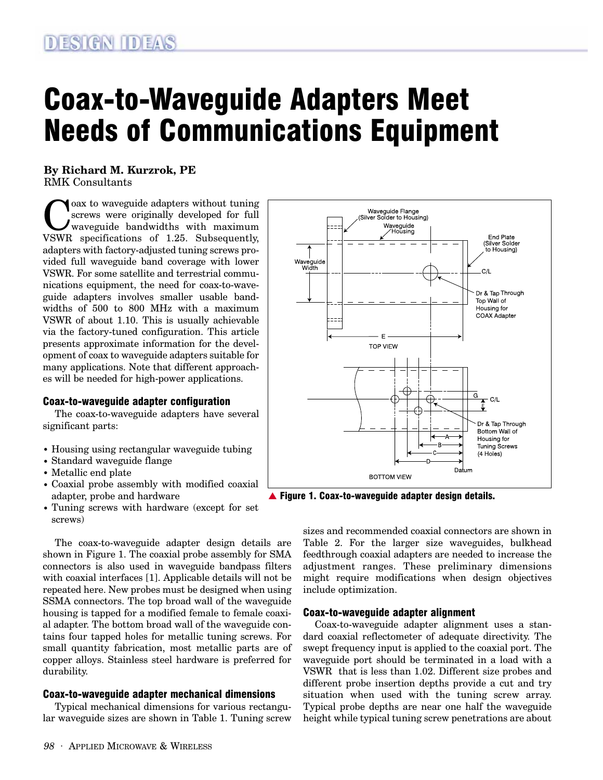# Coax-to-Waveguide Adapters Meet Needs of Communications Equipment

**By Richard M. Kurzrok, PE** RMK Consultants

Coax to waveguide adapters without tuning<br>screws were originally developed for full<br>waveguide bandwidths with maximum<br>WSWR specifications of 1.25 Subsequently screws were originally developed for full VSWR specifications of 1.25. Subsequently, adapters with factory-adjusted tuning screws provided full waveguide band coverage with lower VSWR. For some satellite and terrestrial communications equipment, the need for coax-to-waveguide adapters involves smaller usable bandwidths of 500 to 800 MHz with a maximum VSWR of about 1.10. This is usually achievable via the factory-tuned configuration. This article presents approximate information for the development of coax to waveguide adapters suitable for many applications. Note that different approaches will be needed for high-power applications.

#### Coax-to-waveguide adapter configuration

The coax-to-waveguide adapters have several significant parts:

- Housing using rectangular waveguide tubing
- Standard waveguide flange
- Metallic end plate
- Coaxial probe assembly with modified coaxial adapter, probe and hardware
- Tuning screws with hardware (except for set screws)

The coax-to-waveguide adapter design details are shown in Figure 1. The coaxial probe assembly for SMA connectors is also used in waveguide bandpass filters with coaxial interfaces [1]. Applicable details will not be repeated here. New probes must be designed when using SSMA connectors. The top broad wall of the waveguide housing is tapped for a modified female to female coaxial adapter. The bottom broad wall of the waveguide contains four tapped holes for metallic tuning screws. For small quantity fabrication, most metallic parts are of copper alloys. Stainless steel hardware is preferred for durability.

#### Coax-to-waveguide adapter mechanical dimensions

Typical mechanical dimensions for various rectangular waveguide sizes are shown in Table 1. Tuning screw



▲ Figure 1. Coax-to-waveguide adapter design details.

sizes and recommended coaxial connectors are shown in Table 2. For the larger size waveguides, bulkhead feedthrough coaxial adapters are needed to increase the adjustment ranges. These preliminary dimensions might require modifications when design objectives include optimization.

#### Coax-to-waveguide adapter alignment

Coax-to-waveguide adapter alignment uses a standard coaxial reflectometer of adequate directivity. The swept frequency input is applied to the coaxial port. The waveguide port should be terminated in a load with a VSWR that is less than 1.02. Different size probes and different probe insertion depths provide a cut and try situation when used with the tuning screw array. Typical probe depths are near one half the waveguide height while typical tuning screw penetrations are about